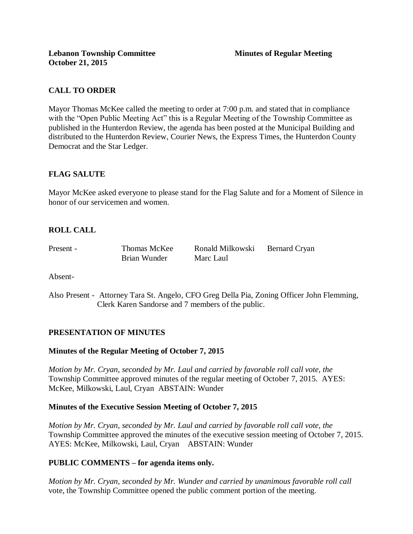# **CALL TO ORDER**

Mayor Thomas McKee called the meeting to order at 7:00 p.m. and stated that in compliance with the "Open Public Meeting Act" this is a Regular Meeting of the Township Committee as published in the Hunterdon Review, the agenda has been posted at the Municipal Building and distributed to the Hunterdon Review, Courier News, the Express Times, the Hunterdon County Democrat and the Star Ledger.

# **FLAG SALUTE**

Mayor McKee asked everyone to please stand for the Flag Salute and for a Moment of Silence in honor of our servicemen and women.

# **ROLL CALL**

Present - Thomas McKee Ronald Milkowski Bernard Cryan Brian Wunder Marc Laul

Absent-

Also Present - Attorney Tara St. Angelo, CFO Greg Della Pia, Zoning Officer John Flemming, Clerk Karen Sandorse and 7 members of the public.

## **PRESENTATION OF MINUTES**

## **Minutes of the Regular Meeting of October 7, 2015**

*Motion by Mr. Cryan, seconded by Mr. Laul and carried by favorable roll call vote, the* Township Committee approved minutes of the regular meeting of October 7, 2015. AYES: McKee, Milkowski, Laul, Cryan ABSTAIN: Wunder

### **Minutes of the Executive Session Meeting of October 7, 2015**

*Motion by Mr. Cryan, seconded by Mr. Laul and carried by favorable roll call vote, the* Township Committee approved the minutes of the executive session meeting of October 7, 2015. AYES: McKee, Milkowski, Laul, Cryan ABSTAIN: Wunder

## **PUBLIC COMMENTS – for agenda items only.**

*Motion by Mr. Cryan, seconded by Mr. Wunder and carried by unanimous favorable roll call*  vote, the Township Committee opened the public comment portion of the meeting.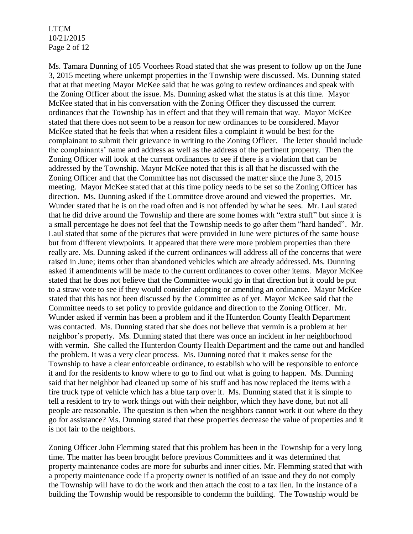LTCM 10/21/2015 Page 2 of 12

Ms. Tamara Dunning of 105 Voorhees Road stated that she was present to follow up on the June 3, 2015 meeting where unkempt properties in the Township were discussed. Ms. Dunning stated that at that meeting Mayor McKee said that he was going to review ordinances and speak with the Zoning Officer about the issue. Ms. Dunning asked what the status is at this time. Mayor McKee stated that in his conversation with the Zoning Officer they discussed the current ordinances that the Township has in effect and that they will remain that way. Mayor McKee stated that there does not seem to be a reason for new ordinances to be considered. Mayor McKee stated that he feels that when a resident files a complaint it would be best for the complainant to submit their grievance in writing to the Zoning Officer. The letter should include the complainants' name and address as well as the address of the pertinent property. Then the Zoning Officer will look at the current ordinances to see if there is a violation that can be addressed by the Township. Mayor McKee noted that this is all that he discussed with the Zoning Officer and that the Committee has not discussed the matter since the June 3, 2015 meeting. Mayor McKee stated that at this time policy needs to be set so the Zoning Officer has direction. Ms. Dunning asked if the Committee drove around and viewed the properties. Mr. Wunder stated that he is on the road often and is not offended by what he sees. Mr. Laul stated that he did drive around the Township and there are some homes with "extra stuff" but since it is a small percentage he does not feel that the Township needs to go after them "hard handed". Mr. Laul stated that some of the pictures that were provided in June were pictures of the same house but from different viewpoints. It appeared that there were more problem properties than there really are. Ms. Dunning asked if the current ordinances will address all of the concerns that were raised in June; items other than abandoned vehicles which are already addressed. Ms. Dunning asked if amendments will be made to the current ordinances to cover other items. Mayor McKee stated that he does not believe that the Committee would go in that direction but it could be put to a straw vote to see if they would consider adopting or amending an ordinance. Mayor McKee stated that this has not been discussed by the Committee as of yet. Mayor McKee said that the Committee needs to set policy to provide guidance and direction to the Zoning Officer. Mr. Wunder asked if vermin has been a problem and if the Hunterdon County Health Department was contacted. Ms. Dunning stated that she does not believe that vermin is a problem at her neighbor's property. Ms. Dunning stated that there was once an incident in her neighborhood with vermin. She called the Hunterdon County Health Department and the came out and handled the problem. It was a very clear process. Ms. Dunning noted that it makes sense for the Township to have a clear enforceable ordinance, to establish who will be responsible to enforce it and for the residents to know where to go to find out what is going to happen. Ms. Dunning said that her neighbor had cleaned up some of his stuff and has now replaced the items with a fire truck type of vehicle which has a blue tarp over it. Ms. Dunning stated that it is simple to tell a resident to try to work things out with their neighbor, which they have done, but not all people are reasonable. The question is then when the neighbors cannot work it out where do they go for assistance? Ms. Dunning stated that these properties decrease the value of properties and it is not fair to the neighbors.

Zoning Officer John Flemming stated that this problem has been in the Township for a very long time. The matter has been brought before previous Committees and it was determined that property maintenance codes are more for suburbs and inner cities. Mr. Flemming stated that with a property maintenance code if a property owner is notified of an issue and they do not comply the Township will have to do the work and then attach the cost to a tax lien. In the instance of a building the Township would be responsible to condemn the building. The Township would be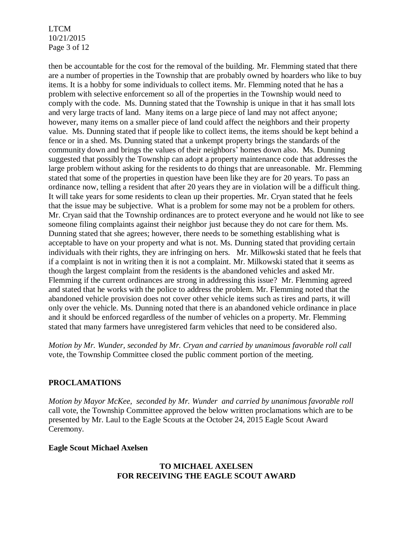LTCM 10/21/2015 Page 3 of 12

then be accountable for the cost for the removal of the building. Mr. Flemming stated that there are a number of properties in the Township that are probably owned by hoarders who like to buy items. It is a hobby for some individuals to collect items. Mr. Flemming noted that he has a problem with selective enforcement so all of the properties in the Township would need to comply with the code. Ms. Dunning stated that the Township is unique in that it has small lots and very large tracts of land. Many items on a large piece of land may not affect anyone; however, many items on a smaller piece of land could affect the neighbors and their property value. Ms. Dunning stated that if people like to collect items, the items should be kept behind a fence or in a shed. Ms. Dunning stated that a unkempt property brings the standards of the community down and brings the values of their neighbors' homes down also. Ms. Dunning suggested that possibly the Township can adopt a property maintenance code that addresses the large problem without asking for the residents to do things that are unreasonable. Mr. Flemming stated that some of the properties in question have been like they are for 20 years. To pass an ordinance now, telling a resident that after 20 years they are in violation will be a difficult thing. It will take years for some residents to clean up their properties. Mr. Cryan stated that he feels that the issue may be subjective. What is a problem for some may not be a problem for others. Mr. Cryan said that the Township ordinances are to protect everyone and he would not like to see someone filing complaints against their neighbor just because they do not care for them. Ms. Dunning stated that she agrees; however, there needs to be something establishing what is acceptable to have on your property and what is not. Ms. Dunning stated that providing certain individuals with their rights, they are infringing on hers. Mr. Milkowski stated that he feels that if a complaint is not in writing then it is not a complaint. Mr. Milkowski stated that it seems as though the largest complaint from the residents is the abandoned vehicles and asked Mr. Flemming if the current ordinances are strong in addressing this issue? Mr. Flemming agreed and stated that he works with the police to address the problem. Mr. Flemming noted that the abandoned vehicle provision does not cover other vehicle items such as tires and parts, it will only over the vehicle. Ms. Dunning noted that there is an abandoned vehicle ordinance in place and it should be enforced regardless of the number of vehicles on a property. Mr. Flemming stated that many farmers have unregistered farm vehicles that need to be considered also.

*Motion by Mr. Wunder, seconded by Mr. Cryan and carried by unanimous favorable roll call*  vote, the Township Committee closed the public comment portion of the meeting.

### **PROCLAMATIONS**

*Motion by Mayor McKee, seconded by Mr. Wunder and carried by unanimous favorable roll*  call vote, the Township Committee approved the below written proclamations which are to be presented by Mr. Laul to the Eagle Scouts at the October 24, 2015 Eagle Scout Award Ceremony.

### **Eagle Scout Michael Axelsen**

## **TO MICHAEL AXELSEN FOR RECEIVING THE EAGLE SCOUT AWARD**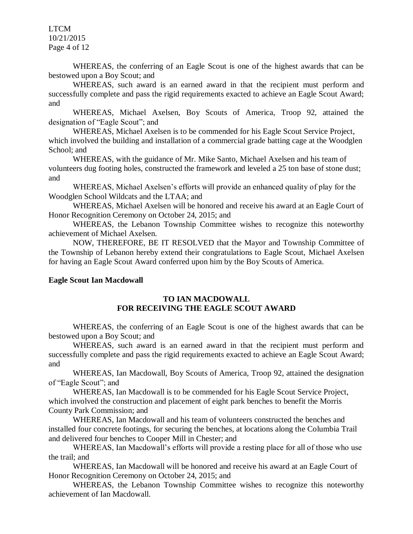LTCM 10/21/2015 Page 4 of 12

WHEREAS, the conferring of an Eagle Scout is one of the highest awards that can be bestowed upon a Boy Scout; and

WHEREAS, such award is an earned award in that the recipient must perform and successfully complete and pass the rigid requirements exacted to achieve an Eagle Scout Award; and

WHEREAS, Michael Axelsen, Boy Scouts of America, Troop 92, attained the designation of "Eagle Scout"; and

WHEREAS, Michael Axelsen is to be commended for his Eagle Scout Service Project, which involved the building and installation of a commercial grade batting cage at the Woodglen School; and

WHEREAS, with the guidance of Mr. Mike Santo, Michael Axelsen and his team of volunteers dug footing holes, constructed the framework and leveled a 25 ton base of stone dust; and

WHEREAS, Michael Axelsen's efforts will provide an enhanced quality of play for the Woodglen School Wildcats and the LTAA; and

WHEREAS, Michael Axelsen will be honored and receive his award at an Eagle Court of Honor Recognition Ceremony on October 24, 2015; and

WHEREAS, the Lebanon Township Committee wishes to recognize this noteworthy achievement of Michael Axelsen.

NOW, THEREFORE, BE IT RESOLVED that the Mayor and Township Committee of the Township of Lebanon hereby extend their congratulations to Eagle Scout, Michael Axelsen for having an Eagle Scout Award conferred upon him by the Boy Scouts of America.

### **Eagle Scout Ian Macdowall**

## **TO IAN MACDOWALL FOR RECEIVING THE EAGLE SCOUT AWARD**

WHEREAS, the conferring of an Eagle Scout is one of the highest awards that can be bestowed upon a Boy Scout; and

WHEREAS, such award is an earned award in that the recipient must perform and successfully complete and pass the rigid requirements exacted to achieve an Eagle Scout Award; and

WHEREAS, Ian Macdowall, Boy Scouts of America, Troop 92, attained the designation of "Eagle Scout"; and

WHEREAS, Ian Macdowall is to be commended for his Eagle Scout Service Project, which involved the construction and placement of eight park benches to benefit the Morris County Park Commission; and

WHEREAS, Ian Macdowall and his team of volunteers constructed the benches and installed four concrete footings, for securing the benches, at locations along the Columbia Trail and delivered four benches to Cooper Mill in Chester; and

WHEREAS, Ian Macdowall's efforts will provide a resting place for all of those who use the trail; and

WHEREAS, Ian Macdowall will be honored and receive his award at an Eagle Court of Honor Recognition Ceremony on October 24, 2015; and

WHEREAS, the Lebanon Township Committee wishes to recognize this noteworthy achievement of Ian Macdowall.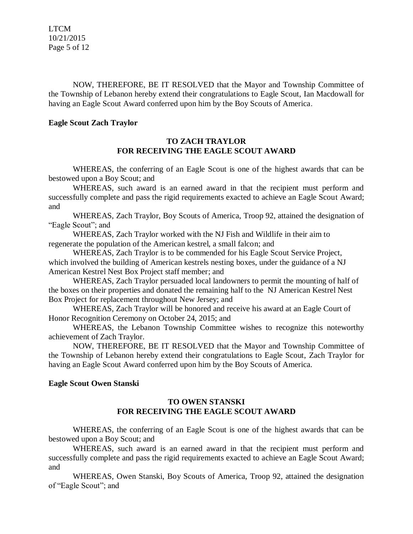LTCM 10/21/2015 Page 5 of 12

NOW, THEREFORE, BE IT RESOLVED that the Mayor and Township Committee of the Township of Lebanon hereby extend their congratulations to Eagle Scout, Ian Macdowall for having an Eagle Scout Award conferred upon him by the Boy Scouts of America*.*

#### **Eagle Scout Zach Traylor**

### **TO ZACH TRAYLOR FOR RECEIVING THE EAGLE SCOUT AWARD**

WHEREAS, the conferring of an Eagle Scout is one of the highest awards that can be bestowed upon a Boy Scout; and

WHEREAS, such award is an earned award in that the recipient must perform and successfully complete and pass the rigid requirements exacted to achieve an Eagle Scout Award; and

WHEREAS, Zach Traylor, Boy Scouts of America, Troop 92, attained the designation of "Eagle Scout"; and

WHEREAS, Zach Traylor worked with the NJ Fish and Wildlife in their aim to regenerate the population of the American kestrel, a small falcon; and

WHEREAS, Zach Traylor is to be commended for his Eagle Scout Service Project, which involved the building of American kestrels nesting boxes, under the guidance of a NJ American Kestrel Nest Box Project staff member; and

WHEREAS, Zach Traylor persuaded local landowners to permit the mounting of half of the boxes on their properties and donated the remaining half to the NJ American Kestrel Nest Box Project for replacement throughout New Jersey; and

WHEREAS, Zach Traylor will be honored and receive his award at an Eagle Court of Honor Recognition Ceremony on October 24, 2015; and

WHEREAS, the Lebanon Township Committee wishes to recognize this noteworthy achievement of Zach Traylor.

NOW, THEREFORE, BE IT RESOLVED that the Mayor and Township Committee of the Township of Lebanon hereby extend their congratulations to Eagle Scout, Zach Traylor for having an Eagle Scout Award conferred upon him by the Boy Scouts of America.

### **Eagle Scout Owen Stanski**

## **TO OWEN STANSKI FOR RECEIVING THE EAGLE SCOUT AWARD**

WHEREAS, the conferring of an Eagle Scout is one of the highest awards that can be bestowed upon a Boy Scout; and

WHEREAS, such award is an earned award in that the recipient must perform and successfully complete and pass the rigid requirements exacted to achieve an Eagle Scout Award; and

WHEREAS, Owen Stanski, Boy Scouts of America, Troop 92, attained the designation of "Eagle Scout"; and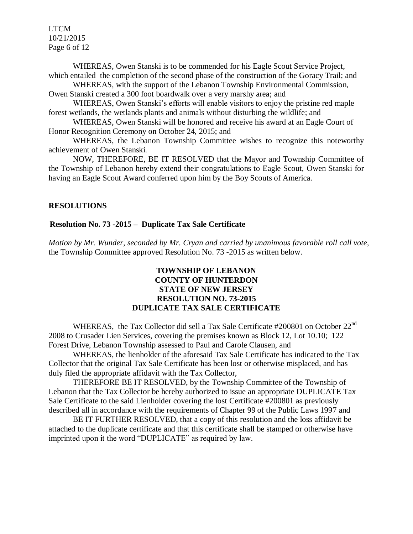LTCM 10/21/2015 Page 6 of 12

WHEREAS, Owen Stanski is to be commended for his Eagle Scout Service Project, which entailed the completion of the second phase of the construction of the Goracy Trail; and

WHEREAS, with the support of the Lebanon Township Environmental Commission, Owen Stanski created a 300 foot boardwalk over a very marshy area; and

WHEREAS, Owen Stanski's efforts will enable visitors to enjoy the pristine red maple forest wetlands, the wetlands plants and animals without disturbing the wildlife; and

WHEREAS, Owen Stanski will be honored and receive his award at an Eagle Court of Honor Recognition Ceremony on October 24, 2015; and

WHEREAS, the Lebanon Township Committee wishes to recognize this noteworthy achievement of Owen Stanski.

NOW, THEREFORE, BE IT RESOLVED that the Mayor and Township Committee of the Township of Lebanon hereby extend their congratulations to Eagle Scout, Owen Stanski for having an Eagle Scout Award conferred upon him by the Boy Scouts of America.

### **RESOLUTIONS**

#### **Resolution No. 73 -2015 – Duplicate Tax Sale Certificate**

*Motion by Mr. Wunder, seconded by Mr. Cryan and carried by unanimous favorable roll call vote,* the Township Committee approved Resolution No. 73 -2015 as written below.

## **TOWNSHIP OF LEBANON COUNTY OF HUNTERDON STATE OF NEW JERSEY RESOLUTION NO. 73-2015 DUPLICATE TAX SALE CERTIFICATE**

WHEREAS, the Tax Collector did sell a Tax Sale Certificate #200801 on October 22nd 2008 to Crusader Lien Services, covering the premises known as Block 12, Lot 10.10; 122 Forest Drive, Lebanon Township assessed to Paul and Carole Clausen, and

WHEREAS, the lienholder of the aforesaid Tax Sale Certificate has indicated to the Tax Collector that the original Tax Sale Certificate has been lost or otherwise misplaced, and has duly filed the appropriate affidavit with the Tax Collector,

THEREFORE BE IT RESOLVED, by the Township Committee of the Township of Lebanon that the Tax Collector be hereby authorized to issue an appropriate DUPLICATE Tax Sale Certificate to the said Lienholder covering the lost Certificate #200801 as previously described all in accordance with the requirements of Chapter 99 of the Public Laws 1997 and

BE IT FURTHER RESOLVED, that a copy of this resolution and the loss affidavit be attached to the duplicate certificate and that this certificate shall be stamped or otherwise have imprinted upon it the word "DUPLICATE" as required by law.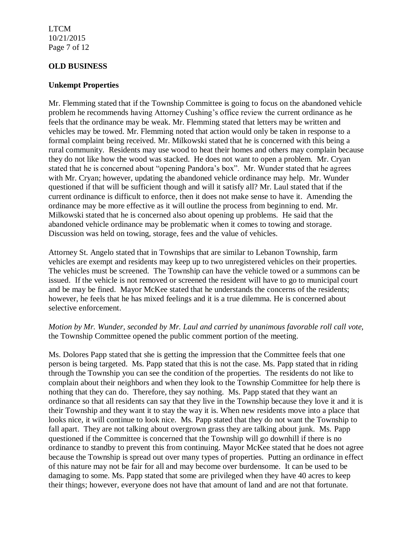### LTCM 10/21/2015 Page 7 of 12

### **OLD BUSINESS**

### **Unkempt Properties**

Mr. Flemming stated that if the Township Committee is going to focus on the abandoned vehicle problem he recommends having Attorney Cushing's office review the current ordinance as he feels that the ordinance may be weak. Mr. Flemming stated that letters may be written and vehicles may be towed. Mr. Flemming noted that action would only be taken in response to a formal complaint being received. Mr. Milkowski stated that he is concerned with this being a rural community. Residents may use wood to heat their homes and others may complain because they do not like how the wood was stacked. He does not want to open a problem. Mr. Cryan stated that he is concerned about "opening Pandora's box". Mr. Wunder stated that he agrees with Mr. Cryan; however, updating the abandoned vehicle ordinance may help. Mr. Wunder questioned if that will be sufficient though and will it satisfy all? Mr. Laul stated that if the current ordinance is difficult to enforce, then it does not make sense to have it. Amending the ordinance may be more effective as it will outline the process from beginning to end. Mr. Milkowski stated that he is concerned also about opening up problems. He said that the abandoned vehicle ordinance may be problematic when it comes to towing and storage. Discussion was held on towing, storage, fees and the value of vehicles.

Attorney St. Angelo stated that in Townships that are similar to Lebanon Township, farm vehicles are exempt and residents may keep up to two unregistered vehicles on their properties. The vehicles must be screened. The Township can have the vehicle towed or a summons can be issued. If the vehicle is not removed or screened the resident will have to go to municipal court and be may be fined. Mayor McKee stated that he understands the concerns of the residents; however, he feels that he has mixed feelings and it is a true dilemma. He is concerned about selective enforcement.

## *Motion by Mr. Wunder, seconded by Mr. Laul and carried by unanimous favorable roll call vote,* the Township Committee opened the public comment portion of the meeting.

Ms. Dolores Papp stated that she is getting the impression that the Committee feels that one person is being targeted. Ms. Papp stated that this is not the case. Ms. Papp stated that in riding through the Township you can see the condition of the properties. The residents do not like to complain about their neighbors and when they look to the Township Committee for help there is nothing that they can do. Therefore, they say nothing. Ms. Papp stated that they want an ordinance so that all residents can say that they live in the Township because they love it and it is their Township and they want it to stay the way it is. When new residents move into a place that looks nice, it will continue to look nice. Ms. Papp stated that they do not want the Township to fall apart. They are not talking about overgrown grass they are talking about junk. Ms. Papp questioned if the Committee is concerned that the Township will go downhill if there is no ordinance to standby to prevent this from continuing. Mayor McKee stated that he does not agree because the Township is spread out over many types of properties. Putting an ordinance in effect of this nature may not be fair for all and may become over burdensome. It can be used to be damaging to some. Ms. Papp stated that some are privileged when they have 40 acres to keep their things; however, everyone does not have that amount of land and are not that fortunate.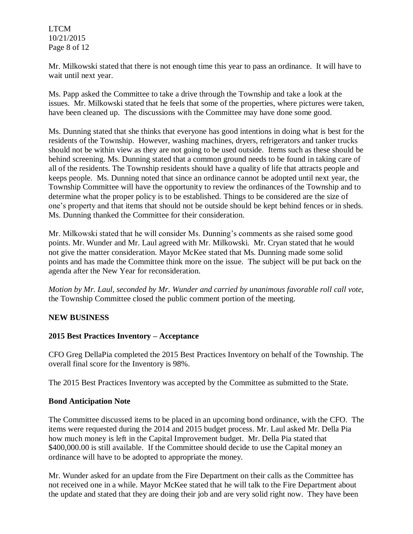LTCM 10/21/2015 Page 8 of 12

Mr. Milkowski stated that there is not enough time this year to pass an ordinance. It will have to wait until next year.

Ms. Papp asked the Committee to take a drive through the Township and take a look at the issues. Mr. Milkowski stated that he feels that some of the properties, where pictures were taken, have been cleaned up. The discussions with the Committee may have done some good.

Ms. Dunning stated that she thinks that everyone has good intentions in doing what is best for the residents of the Township. However, washing machines, dryers, refrigerators and tanker trucks should not be within view as they are not going to be used outside. Items such as these should be behind screening. Ms. Dunning stated that a common ground needs to be found in taking care of all of the residents. The Township residents should have a quality of life that attracts people and keeps people. Ms. Dunning noted that since an ordinance cannot be adopted until next year, the Township Committee will have the opportunity to review the ordinances of the Township and to determine what the proper policy is to be established. Things to be considered are the size of one's property and that items that should not be outside should be kept behind fences or in sheds. Ms. Dunning thanked the Committee for their consideration.

Mr. Milkowski stated that he will consider Ms. Dunning's comments as she raised some good points. Mr. Wunder and Mr. Laul agreed with Mr. Milkowski. Mr. Cryan stated that he would not give the matter consideration. Mayor McKee stated that Ms. Dunning made some solid points and has made the Committee think more on the issue. The subject will be put back on the agenda after the New Year for reconsideration.

*Motion by Mr. Laul, seconded by Mr. Wunder and carried by unanimous favorable roll call vote,* the Township Committee closed the public comment portion of the meeting.

## **NEW BUSINESS**

### **2015 Best Practices Inventory – Acceptance**

CFO Greg DellaPia completed the 2015 Best Practices Inventory on behalf of the Township. The overall final score for the Inventory is 98%.

The 2015 Best Practices Inventory was accepted by the Committee as submitted to the State.

### **Bond Anticipation Note**

The Committee discussed items to be placed in an upcoming bond ordinance, with the CFO. The items were requested during the 2014 and 2015 budget process. Mr. Laul asked Mr. Della Pia how much money is left in the Capital Improvement budget. Mr. Della Pia stated that \$400,000.00 is still available. If the Committee should decide to use the Capital money an ordinance will have to be adopted to appropriate the money.

Mr. Wunder asked for an update from the Fire Department on their calls as the Committee has not received one in a while. Mayor McKee stated that he will talk to the Fire Department about the update and stated that they are doing their job and are very solid right now. They have been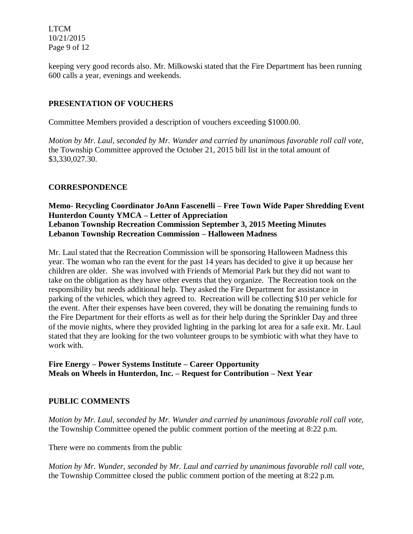LTCM 10/21/2015 Page 9 of 12

keeping very good records also. Mr. Milkowski stated that the Fire Department has been running 600 calls a year, evenings and weekends.

## **PRESENTATION OF VOUCHERS**

Committee Members provided a description of vouchers exceeding \$1000.00.

*Motion by Mr. Laul, seconded by Mr. Wunder and carried by unanimous favorable roll call vote,*  the Township Committee approved the October 21, 2015 bill list in the total amount of \$3,330,027.30.

### **CORRESPONDENCE**

## **Memo- Recycling Coordinator JoAnn Fascenelli – Free Town Wide Paper Shredding Event Hunterdon County YMCA – Letter of Appreciation Lebanon Township Recreation Commission September 3, 2015 Meeting Minutes Lebanon Township Recreation Commission – Halloween Madness**

Mr. Laul stated that the Recreation Commission will be sponsoring Halloween Madness this year. The woman who ran the event for the past 14 years has decided to give it up because her children are older. She was involved with Friends of Memorial Park but they did not want to take on the obligation as they have other events that they organize. The Recreation took on the responsibility but needs additional help. They asked the Fire Department for assistance in parking of the vehicles, which they agreed to. Recreation will be collecting \$10 per vehicle for the event. After their expenses have been covered, they will be donating the remaining funds to the Fire Department for their efforts as well as for their help during the Sprinkler Day and three of the movie nights, where they provided lighting in the parking lot area for a safe exit. Mr. Laul stated that they are looking for the two volunteer groups to be symbiotic with what they have to work with.

## **Fire Energy – Power Systems Institute – Career Opportunity Meals on Wheels in Hunterdon, Inc. – Request for Contribution – Next Year**

## **PUBLIC COMMENTS**

*Motion by Mr. Laul, seconded by Mr. Wunder and carried by unanimous favorable roll call vote,* the Township Committee opened the public comment portion of the meeting at 8:22 p.m.

There were no comments from the public

*Motion by Mr. Wunder, seconded by Mr. Laul and carried by unanimous favorable roll call vote,* the Township Committee closed the public comment portion of the meeting at 8:22 p.m.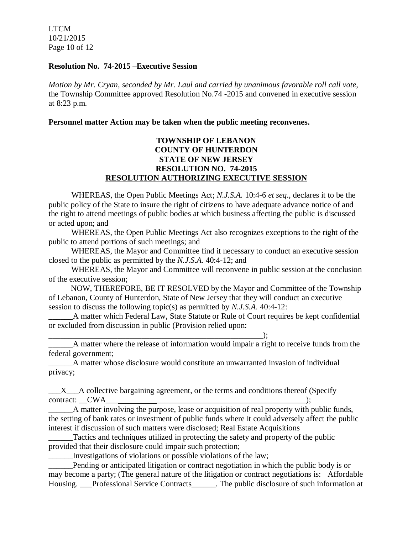LTCM 10/21/2015 Page 10 of 12

#### **Resolution No. 74-2015 –Executive Session**

*Motion by Mr. Cryan, seconded by Mr. Laul and carried by unanimous favorable roll call vote,* the Township Committee approved Resolution No.74 -2015 and convened in executive session at 8:23 p.m.

**Personnel matter Action may be taken when the public meeting reconvenes.**

## **TOWNSHIP OF LEBANON COUNTY OF HUNTERDON STATE OF NEW JERSEY RESOLUTION NO. 74-2015 RESOLUTION AUTHORIZING EXECUTIVE SESSION**

WHEREAS, the Open Public Meetings Act; *N.J.S.A.* 10:4-6 *et seq*., declares it to be the public policy of the State to insure the right of citizens to have adequate advance notice of and the right to attend meetings of public bodies at which business affecting the public is discussed or acted upon; and

WHEREAS, the Open Public Meetings Act also recognizes exceptions to the right of the public to attend portions of such meetings; and

WHEREAS, the Mayor and Committee find it necessary to conduct an executive session closed to the public as permitted by the *N.J.S.A*. 40:4-12; and

WHEREAS, the Mayor and Committee will reconvene in public session at the conclusion of the executive session;

 NOW, THEREFORE, BE IT RESOLVED by the Mayor and Committee of the Township of Lebanon, County of Hunterdon, State of New Jersey that they will conduct an executive session to discuss the following topic(s) as permitted by *N.J.S.A*. 40:4-12:

A matter which Federal Law, State Statute or Rule of Court requires be kept confidential or excluded from discussion in public (Provision relied upon:

\_\_\_\_\_\_\_\_\_\_\_\_\_\_\_\_\_\_\_\_\_\_\_\_\_\_\_\_\_\_\_\_\_\_\_\_\_\_\_\_\_\_\_\_\_\_\_\_\_\_\_\_\_); \_\_\_\_\_\_A matter where the release of information would impair a right to receive funds from the federal government;

\_\_\_\_\_\_A matter whose disclosure would constitute an unwarranted invasion of individual privacy;

\_\_\_X\_\_\_A collective bargaining agreement, or the terms and conditions thereof (Specify contract:  $CWA$  );

 $\Delta$  matter involving the purpose, lease or acquisition of real property with public funds, the setting of bank rates or investment of public funds where it could adversely affect the public interest if discussion of such matters were disclosed; Real Estate Acquisitions

\_\_\_\_\_\_Tactics and techniques utilized in protecting the safety and property of the public provided that their disclosure could impair such protection;

\_\_\_\_\_\_Investigations of violations or possible violations of the law;

Pending or anticipated litigation or contract negotiation in which the public body is or may become a party; (The general nature of the litigation or contract negotiations is: Affordable Housing. \_\_\_Professional Service Contracts\_\_\_\_\_\_. The public disclosure of such information at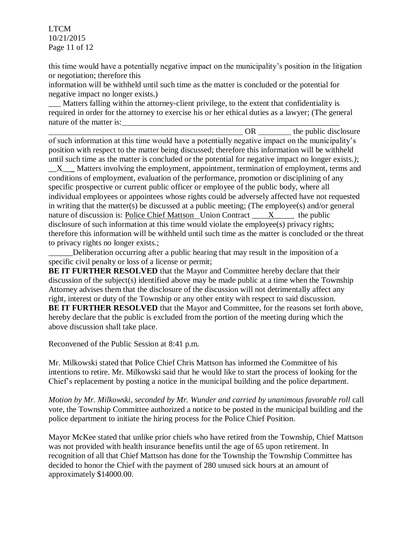LTCM 10/21/2015 Page 11 of 12

this time would have a potentially negative impact on the municipality's position in the litigation or negotiation; therefore this

information will be withheld until such time as the matter is concluded or the potential for negative impact no longer exists.)

\_\_\_ Matters falling within the attorney-client privilege, to the extent that confidentiality is required in order for the attorney to exercise his or her ethical duties as a lawyer; (The general nature of the matter is:

OR the public disclosure of such information at this time would have a potentially negative impact on the municipality's position with respect to the matter being discussed; therefore this information will be withheld until such time as the matter is concluded or the potential for negative impact no longer exists.*)*; \_\_X\_\_**\_** Matters involving the employment, appointment, termination of employment, terms and conditions of employment, evaluation of the performance, promotion or disciplining of any specific prospective or current public officer or employee of the public body, where all individual employees or appointees whose rights could be adversely affected have not requested in writing that the matter(s) be discussed at a public meeting; (The employee(s) and/or general nature of discussion is: Police Chief Mattson Union Contract \_\_\_\_\_\_ X\_\_\_\_\_ the public disclosure of such information at this time would violate the employee(s) privacy rights; therefore this information will be withheld until such time as the matter is concluded or the threat to privacy rights no longer exists.;

\_\_\_\_\_\_Deliberation occurring after a public hearing that may result in the imposition of a specific civil penalty or loss of a license or permit;

**BE IT FURTHER RESOLVED** that the Mayor and Committee hereby declare that their discussion of the subject(s) identified above may be made public at a time when the Township Attorney advises them that the disclosure of the discussion will not detrimentally affect any right, interest or duty of the Township or any other entity with respect to said discussion. **BE IT FURTHER RESOLVED** that the Mayor and Committee, for the reasons set forth above, hereby declare that the public is excluded from the portion of the meeting during which the above discussion shall take place.

Reconvened of the Public Session at 8:41 p.m.

Mr. Milkowski stated that Police Chief Chris Mattson has informed the Committee of his intentions to retire. Mr. Milkowski said that he would like to start the process of looking for the Chief's replacement by posting a notice in the municipal building and the police department.

*Motion by Mr. Milkowski, seconded by Mr. Wunder and carried by unanimous favorable roll* call vote, the Township Committee authorized a notice to be posted in the municipal building and the police department to initiate the hiring process for the Police Chief Position.

Mayor McKee stated that unlike prior chiefs who have retired from the Township, Chief Mattson was not provided with health insurance benefits until the age of 65 upon retirement. In recognition of all that Chief Mattson has done for the Township the Township Committee has decided to honor the Chief with the payment of 280 unused sick hours at an amount of approximately \$14000.00.